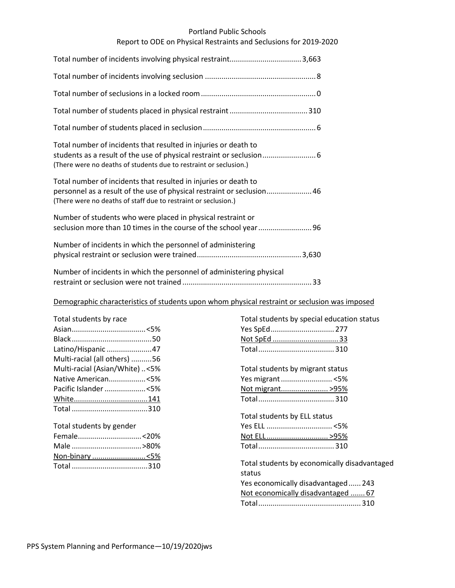#### Portland Public Schools

## Report to ODE on Physical Restraints and Seclusions for 2019-2020

| Total number of incidents that resulted in injuries or death to<br>students as a result of the use of physical restraint or seclusion 6<br>(There were no deaths of students due to restraint or seclusion.) |
|--------------------------------------------------------------------------------------------------------------------------------------------------------------------------------------------------------------|
| Total number of incidents that resulted in injuries or death to<br>personnel as a result of the use of physical restraint or seclusion 46<br>(There were no deaths of staff due to restraint or seclusion.)  |
| Number of students who were placed in physical restraint or                                                                                                                                                  |
| Number of incidents in which the personnel of administering                                                                                                                                                  |
| Number of incidents in which the personnel of administering physical                                                                                                                                         |

## Demographic characteristics of students upon whom physical restraint or seclusion was imposed

| Total students by race         |  |
|--------------------------------|--|
|                                |  |
|                                |  |
| Latino/Hispanic 47             |  |
| Multi-racial (all others) 56   |  |
| Multi-racial (Asian/White) <5% |  |
| Native American<5%             |  |
| Pacific Islander <5%           |  |
|                                |  |
|                                |  |
|                                |  |

# Total students by gender Female...............................<20% Male ..................................>80% Non-binary ..........................<5% Total .....................................310

| Total students by special education status<br>Yes SpEd 277<br>Not SpEd 33 |  |
|---------------------------------------------------------------------------|--|
| Total students by migrant status                                          |  |
| Yes migrant <5%                                                           |  |
| Not migrant >95%                                                          |  |
|                                                                           |  |
| Total students by ELL status                                              |  |
|                                                                           |  |
| <u>Not ELL &gt;95%</u>                                                    |  |
|                                                                           |  |
| Total students by economically disadvantaged<br>status                    |  |
| Yes economically disadvantaged  243                                       |  |
| Not economically disadvantaged  67                                        |  |
|                                                                           |  |
|                                                                           |  |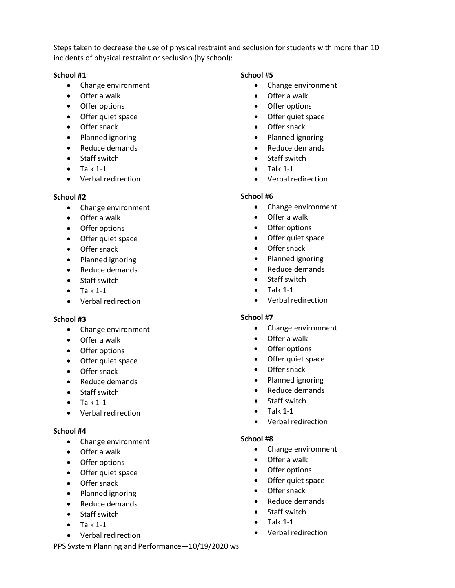Steps taken to decrease the use of physical restraint and seclusion for students with more than 10 incidents of physical restraint or seclusion (by school):

## **School #1**

- Change environment
- Offer a walk
- Offer options
- Offer quiet space
- Offer snack
- Planned ignoring
- Reduce demands
- Staff switch
- $\bullet$  Talk 1-1
- Verbal redirection

## **School #2**

- Change environment
- Offer a walk
- Offer options
- Offer quiet space
- Offer snack
- Planned ignoring
- Reduce demands
- Staff switch
- $\bullet$  Talk 1-1
- Verbal redirection

## **School #3**

- Change environment
- Offer a walk
- Offer options
- Offer quiet space
- Offer snack
- Reduce demands
- Staff switch
- $\bullet$  Talk 1-1
- Verbal redirection

## **School #4**

- Change environment
- Offer a walk
- Offer options
- Offer quiet space
- Offer snack
- Planned ignoring
- Reduce demands
- Staff switch
- $\bullet$  Talk 1-1
- Verbal redirection

# • Change environment

**School #5**

- Offer a walk
- Offer options
- Offer quiet space
- Offer snack
- Planned ignoring
- Reduce demands
- Staff switch
- Talk 1-1
- Verbal redirection

## **School #6**

- Change environment
- Offer a walk
- Offer options
- Offer quiet space
- Offer snack
- Planned ignoring
- Reduce demands
- Staff switch
- $\bullet$  Talk 1-1
- Verbal redirection

## **School #7**

- Change environment
- Offer a walk
- Offer options
- Offer quiet space
- Offer snack
- Planned ignoring
- Reduce demands
- Staff switch
- $\bullet$  Talk 1-1
- Verbal redirection

## **School #8**

- Change environment
- Offer a walk
- Offer options
- Offer quiet space
- Offer snack
- Reduce demands
- Staff switch
- $\bullet$  Talk 1-1
- Verbal redirection

PPS System Planning and Performance—10/19/2020jws